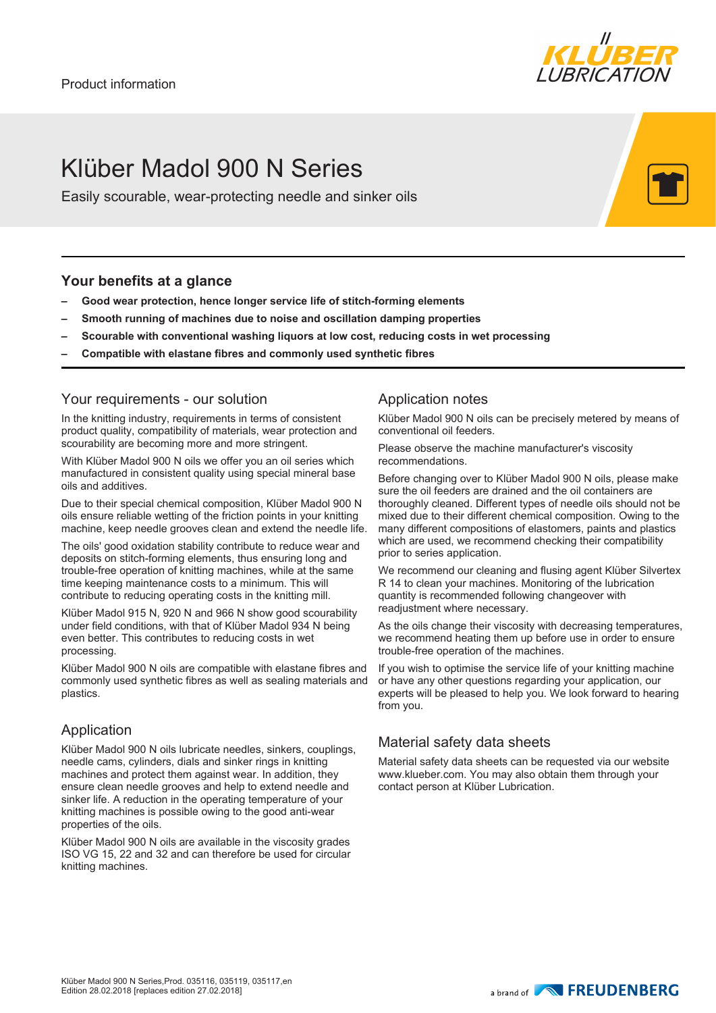

# Klüber Madol 900 N Series

Easily scourable, wear-protecting needle and sinker oils

#### **Your benefits at a glance**

- **– Good wear protection, hence longer service life of stitch-forming elements**
- **– Smooth running of machines due to noise and oscillation damping properties**
- **– Scourable with conventional washing liquors at low cost, reducing costs in wet processing**
- **– Compatible with elastane fibres and commonly used synthetic fibres**

#### Your requirements - our solution

In the knitting industry, requirements in terms of consistent product quality, compatibility of materials, wear protection and scourability are becoming more and more stringent.

With Klüber Madol 900 N oils we offer you an oil series which manufactured in consistent quality using special mineral base oils and additives.

Due to their special chemical composition, Klüber Madol 900 N oils ensure reliable wetting of the friction points in your knitting machine, keep needle grooves clean and extend the needle life.

The oils' good oxidation stability contribute to reduce wear and deposits on stitch-forming elements, thus ensuring long and trouble-free operation of knitting machines, while at the same time keeping maintenance costs to a minimum. This will contribute to reducing operating costs in the knitting mill.

Klüber Madol 915 N, 920 N and 966 N show good scourability under field conditions, with that of Klüber Madol 934 N being even better. This contributes to reducing costs in wet processing.

Klüber Madol 900 N oils are compatible with elastane fibres and commonly used synthetic fibres as well as sealing materials and plastics.

### Application

Klüber Madol 900 N oils lubricate needles, sinkers, couplings, needle cams, cylinders, dials and sinker rings in knitting machines and protect them against wear. In addition, they ensure clean needle grooves and help to extend needle and sinker life. A reduction in the operating temperature of your knitting machines is possible owing to the good anti-wear properties of the oils.

Klüber Madol 900 N oils are available in the viscosity grades ISO VG 15, 22 and 32 and can therefore be used for circular knitting machines.

### Application notes

Klüber Madol 900 N oils can be precisely metered by means of conventional oil feeders.

Please observe the machine manufacturer's viscosity recommendations.

Before changing over to Klüber Madol 900 N oils, please make sure the oil feeders are drained and the oil containers are thoroughly cleaned. Different types of needle oils should not be mixed due to their different chemical composition. Owing to the many different compositions of elastomers, paints and plastics which are used, we recommend checking their compatibility prior to series application.

We recommend our cleaning and flusing agent Klüber Silvertex R 14 to clean your machines. Monitoring of the lubrication quantity is recommended following changeover with readiustment where necessary.

As the oils change their viscosity with decreasing temperatures, we recommend heating them up before use in order to ensure trouble-free operation of the machines.

If you wish to optimise the service life of your knitting machine or have any other questions regarding your application, our experts will be pleased to help you. We look forward to hearing from you.

## Material safety data sheets

Material safety data sheets can be requested via our website www.klueber.com. You may also obtain them through your contact person at Klüber Lubrication.